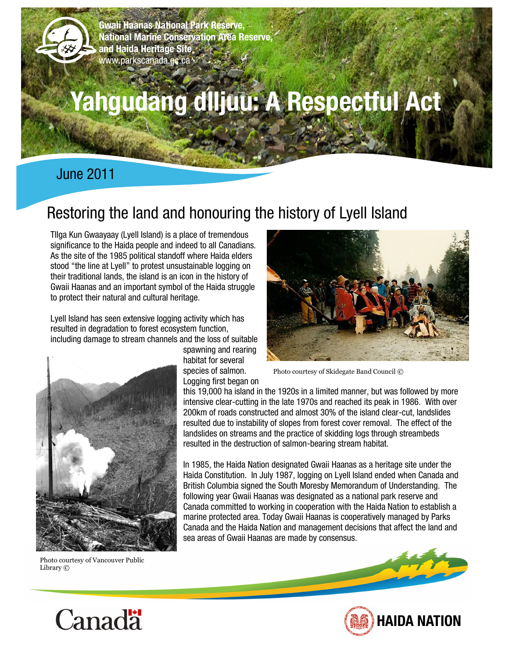

**Gwaii Haanas National Park Reserve, National Marine Conservation Area Reserve, and Haida Heritage Site** www.parkscanada.gc.ca

# **Yahgudang dlljuu: A Respectful Act**

#### June 2011

# Restoring the land and honouring the history of Lyell Island

Tllga Kun Gwaayaay (Lyell Island) is a place of tremendous significance to the Haida people and indeed to all Canadians. As the site of the 1985 political standoff where Haida elders stood "the line at Lyell" to protest unsustainable logging on their traditional lands, the island is an icon in the history of Gwaii Haanas and an important symbol of the Haida struggle to protect their natural and cultural heritage.

Lyell Island has seen extensive logging activity which has resulted in degradation to forest ecosystem function, including damage to stream channels and the loss of suitable



Photo courtesy of Vancouver Public Library ©

Canadä

spawning and rearing habitat for several

species of salmon. Logging first began on



Photo courtesy of Skidegate Band Council ©

this 19,000 ha island in the 1920s in a limited manner, but was followed by more intensive clear-cutting in the late 1970s and reached its peak in 1986. With over 200km of roads constructed and almost 30% of the island clear-cut, landslides resulted due to instability of slopes from forest cover removal. The effect of the landslides on streams and the practice of skidding logs through streambeds resulted in the destruction of salmon-bearing stream habitat.

In 1985, the Haida Nation designated Gwaii Haanas as a heritage site under the Haida Constitution. In July 1987, logging on Lyell Island ended when Canada and British Columbia signed the South Moresby Memorandum of Understanding. The following year Gwaii Haanas was designated as a national park reserve and Canada committed to working in cooperation with the Haida Nation to establish a marine protected area. Today Gwaii Haanas is cooperatively managed by Parks Canada and the Haida Nation and management decisions that affect the land and sea areas of Gwaii Haanas are made by consensus.